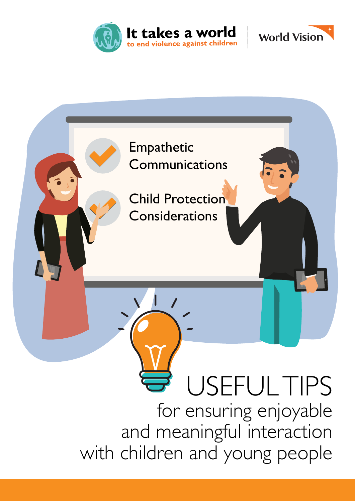